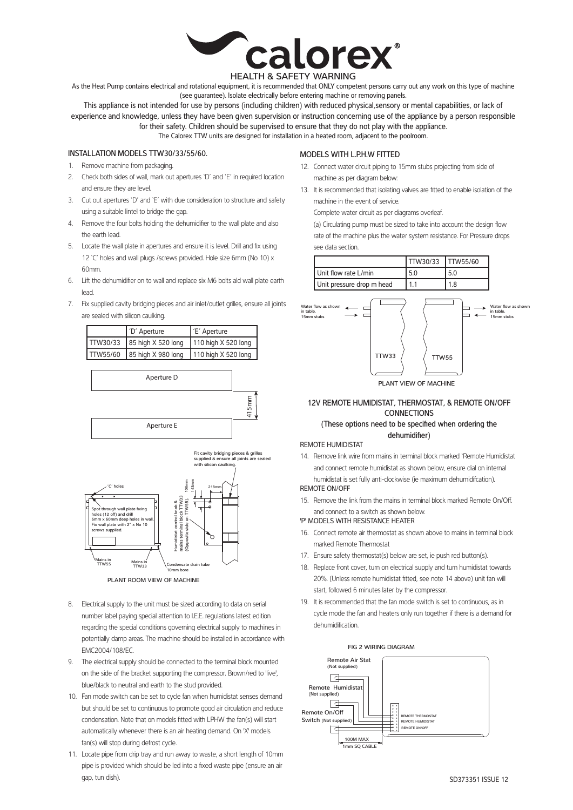

As the Heat Pump contains electrical and rotational equipment, it is recommended that ONLY competent persons carry out any work on this type of machine (see guarantee). Isolate electrically before entering machine or removing panels.

This appliance is not intended for use by persons (including children) with reduced physical,sensory or mental capabilities, or lack of experience and knowledge, unless they have been given supervision or instruction concerning use of the appliance by a person responsible for their safety. Children should be supervised to ensure that they do not play with the appliance. The Calorex TTW units are designed for installation in a heated room, adjacent to the poolroom.

## INSTALLATION MODELS TTW30/33/55/60.

- 1. Remove machine from packaging.
- 2. Check both sides of wall, mark out apertures 'D' and 'E' in required location and ensure they are level.
- 3. Cut out apertures 'D' and 'E' with due consideration to structure and safety using a suitable lintel to bridge the gap.
- 4. Remove the four bolts holding the dehumidifier to the wall plate and also the earth lead.
- 5. Locate the wall plate in apertures and ensure it is level. Drill and fix using 12 'C' holes and wall plugs /screws provided. Hole size 6mm (No 10) x 60mm.
- 6. Lift the dehumidifier on to wall and replace six M6 bolts ald wall plate earth lead.
- 7. Fix supplied cavity bridging pieces and air inlet/outlet grilles, ensure all joints are sealed with silicon caulking.

| 'D' Aperture                | l'E' Aperture         |  |  |
|-----------------------------|-----------------------|--|--|
| TTW30/33 85 high X 520 long | 110 high $X$ 520 long |  |  |
| TTW55/60 85 high X 980 long | $110$ high X 520 long |  |  |





- 8. Electrical supply to the unit must be sized according to data on serial number label paying special attention to I.E.E. regulations latest edition regarding the special conditions governing electrical supply to machines in potentially damp areas. The machine should be installed in accordance with EMC2004/108/EC.
- 9. The electrical supply should be connected to the terminal block mounted on the side of the bracket supporting the compressor. Brown/red to 'live', blue/black to neutral and earth to the stud provided.
- 10. Fan mode switch can be set to cycle fan when humidistat senses demand but should be set to continuous to promote good air circulation and reduce condensation. Note that on models fitted with LPHW the fan(s) will start automatically whenever there is an air heating demand. On 'X' models fan(s) will stop during defrost cycle.
- 11. Locate pipe from drip tray and run away to waste, a short length of 10mm pipe is provided which should be led into a fixed waste pipe (ensure an air gap, tun dish).

## MODELS WITH L.P.H.W FITTED

- 12. Connect water circuit piping to 15mm stubs projecting from side of machine as per diagram below:
- 13. It is recommended that isolating valves are fitted to enable isolation of the machine in the event of service.

Complete water circuit as per diagrams overleaf.

(a) Circulating pump must be sized to take into account the design flow rate of the machine plus the water system resistance. For Pressure drops see data section.

|                           | TTW30/33 TTW55/60 |     |  |
|---------------------------|-------------------|-----|--|
| I Unit flow rate L/min    | 5.0               | 5.0 |  |
| Unit pressure drop m head |                   | 1.8 |  |



## 12V REMOTE HUMIDISTAT, THERMOSTAT, & REMOTE ON/OFF CONNECTIONS

## (These options need to be specified when ordering the dehumidifier)

#### REMOTE HUMIDISTAT

14. Remove link wire from mains in terminal block marked 'Remote Humidistat and connect remote humidistat as shown below, ensure dial on internal humidistat is set fully anti-clockwise (ie maximum dehumidifcation).

## REMOTE ON/OFF

- 15. Remove the link from the mains in terminal block marked Remote On/Off. and connect to a switch as shown below.
- 'P' MODELS WITH RESISTANCE HEATER
- 16. Connect remote air thermostat as shown above to mains in terminal block marked Remote Thermostat
- 17. Ensure safety thermostat(s) below are set, ie push red button(s).
- 18. Replace front cover, turn on electrical supply and turn humidistat towards 20%. (Unless remote humidistat fitted, see note 14 above) unit fan will start, followed 6 minutes later by the compressor.
- 19. It is recommended that the fan mode switch is set to continuous, as in cycle mode the fan and heaters only run together if there is a demand for dehumidification.

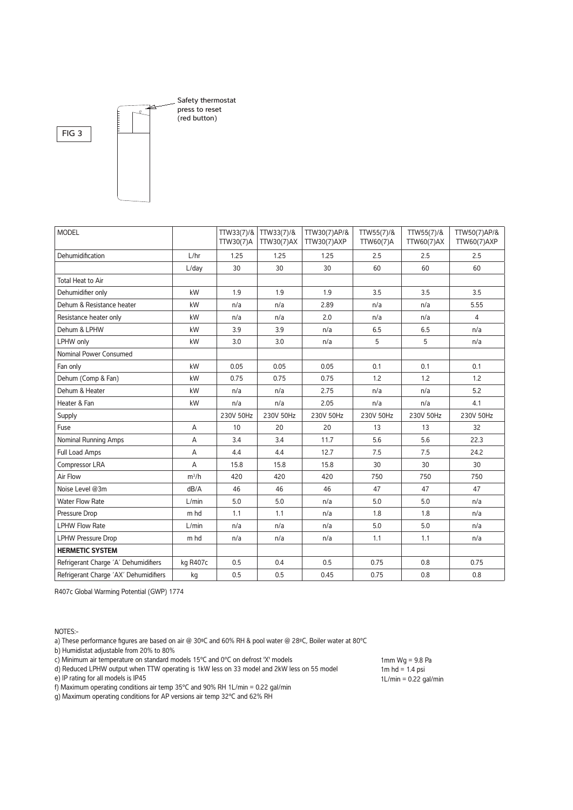

| <b>MODEL</b>                          |          | TTW33(7)/&<br>TTW30(7)A | TTW33(7)/&<br>TTW30(7)AX | TTW30(7)AP/&<br>TTW30(7)AXP | TTW55(7)/&<br>TTW60(7)A | TTW55(7)/&<br><b>TTW60(7)AX</b> | TTW50(7)AP/&<br><b>TTW60(7)AXP</b> |
|---------------------------------------|----------|-------------------------|--------------------------|-----------------------------|-------------------------|---------------------------------|------------------------------------|
| Dehumidification                      | L/hr     | 1.25                    | 1.25                     | 1.25                        | 2.5                     | 2.5                             | 2.5                                |
|                                       | L/day    | 30                      | 30                       | 30                          | 60                      | 60                              | 60                                 |
| Total Heat to Air                     |          |                         |                          |                             |                         |                                 |                                    |
| Dehumidifier only                     | kW       | 1.9                     | 1.9                      | 1.9                         | 3.5                     | 3.5                             | 3.5                                |
| Dehum & Resistance heater             | kW       | n/a                     | n/a                      | 2.89                        | n/a                     | n/a                             | 5.55                               |
| Resistance heater only                | kW       | n/a                     | n/a                      | 2.0                         | n/a                     | n/a                             | 4                                  |
| Dehum & LPHW                          | kW       | 3.9                     | 3.9                      | n/a                         | 6.5                     | 6.5                             | n/a                                |
| LPHW only                             | kW       | 3.0                     | 3.0                      | n/a                         | 5                       | 5                               | n/a                                |
| <b>Nominal Power Consumed</b>         |          |                         |                          |                             |                         |                                 |                                    |
| Fan only                              | kW       | 0.05                    | 0.05                     | 0.05                        | 0.1                     | 0.1                             | 0.1                                |
| Dehum (Comp & Fan)                    | kW       | 0.75                    | 0.75                     | 0.75                        | 1.2                     | 1.2                             | 1.2                                |
| Dehum & Heater                        | kW       | n/a                     | n/a                      | 2.75                        | n/a                     | n/a                             | 5.2                                |
| Heater & Fan                          | kW       | n/a                     | n/a                      | 2.05                        | n/a                     | n/a                             | 4.1                                |
| Supply                                |          | 230V 50Hz               | 230V 50Hz                | 230V 50Hz                   | 230V 50Hz               | 230V 50Hz                       | 230V 50Hz                          |
| Fuse                                  | A        | 10                      | 20                       | 20                          | 13                      | 13                              | 32                                 |
| Nominal Running Amps                  | A        | 3.4                     | 3.4                      | 11.7                        | 5.6                     | 5.6                             | 22.3                               |
| Full Load Amps                        | A        | 4.4                     | 4.4                      | 12.7                        | 7.5                     | 7.5                             | 24.2                               |
| Compressor LRA                        | A        | 15.8                    | 15.8                     | 15.8                        | 30                      | 30                              | 30                                 |
| Air Flow                              | $m^3/h$  | 420                     | 420                      | 420                         | 750                     | 750                             | 750                                |
| Noise Level @3m                       | dB/A     | 46                      | 46                       | 46                          | 47                      | 47                              | 47                                 |
| <b>Water Flow Rate</b>                | L/min    | 5.0                     | 5.0                      | n/a                         | 5.0                     | 5.0                             | n/a                                |
| Pressure Drop                         | m hd     | 1.1                     | 1.1                      | n/a                         | 1.8                     | 1.8                             | n/a                                |
| <b>LPHW Flow Rate</b>                 | L/min    | n/a                     | n/a                      | n/a                         | 5.0                     | 5.0                             | n/a                                |
| <b>LPHW Pressure Drop</b>             | m hd     | n/a                     | n/a                      | n/a                         | 1.1                     | 1.1                             | n/a                                |
| <b>HERMETIC SYSTEM</b>                |          |                         |                          |                             |                         |                                 |                                    |
| Refrigerant Charge 'A' Dehumidifiers  | kg R407c | 0.5                     | 0.4                      | 0.5                         | 0.75                    | 0.8                             | 0.75                               |
| Refrigerant Charge 'AX' Dehumidifiers | kg       | 0.5                     | 0.5                      | 0.45                        | 0.75                    | 0.8                             | 0.8                                |

R407c Global Warming Potential (GWP) 1774

NOTES:-

a) These performance figures are based on air @ 30ºC and 60% RH & pool water @ 28ºC, Boiler water at 80°C

b) Humidistat adjustable from 20% to 80%

c) Minimum air temperature on standard models 15°C and 0°C on defrost 'X' models

d) Reduced LPHW output when TTW operating is 1kW less on 33 model and 2kW less on 55 model

e) IP rating for all models is IP45

f) Maximum operating conditions air temp 35°C and 90% RH 1L/min = 0.22 gal/min

g) Maximum operating conditions for AP versions air temp 32°C and 62% RH

1mm Wg = 9.8 Pa 1m  $hd = 1.4$  psi  $1$ L/min = 0.22 gal/min